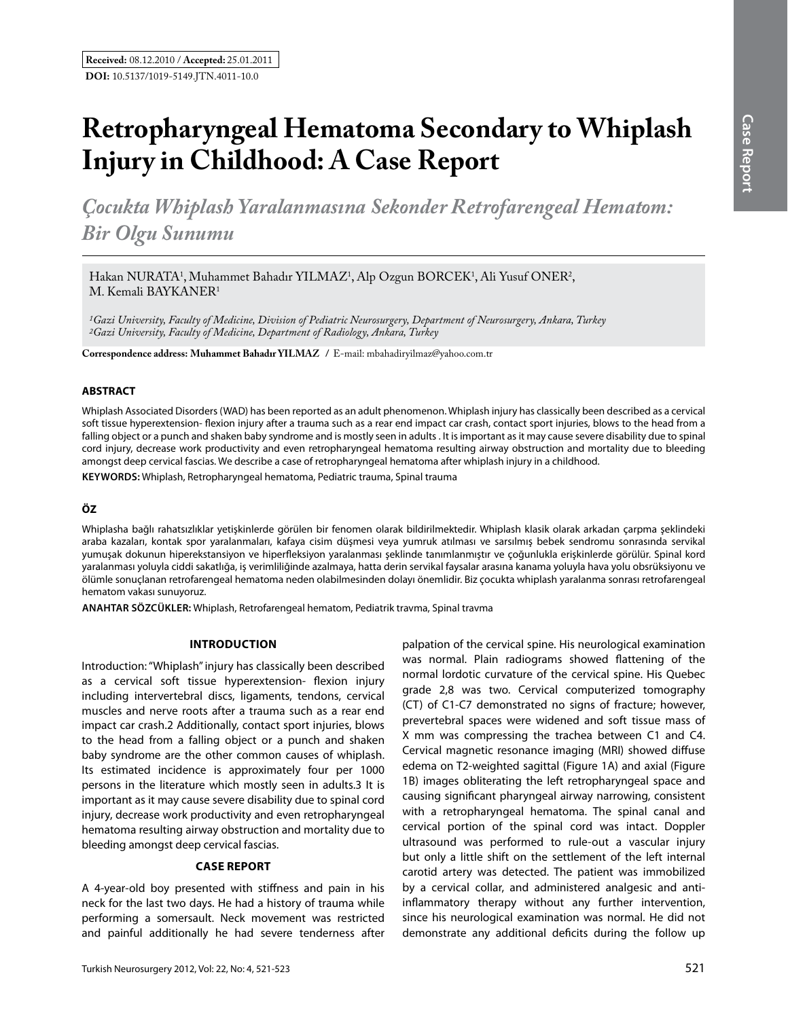# **Retropharyngeal Hematoma Secondary to Whiplash Injury in Childhood: A Case Report**

*Çocukta Whiplash Yaralanmasına Sekonder Retrofarengeal Hematom: Bir Olgu Sunumu* 

Hakan NURATA<sup>1</sup>, Muhammet Bahadır YILMAZ<sup>1</sup>, Alp Ozgun BORCEK<sup>1</sup>, Ali Yusuf ONER<sup>2</sup>, M. Kemali BAYKANER1

*1Gazi University, Faculty of Medicine, Division of Pediatric Neurosurgery, Department of Neurosurgery, Ankara, Turkey 2Gazi University, Faculty of Medicine, Department of Radiology, Ankara, Turkey*

**Correspondence address: Muhammet Bahadır YILMAZ /** E-mail: mbahadiryilmaz@yahoo.com.tr

## **ABSTRACT**

Whiplash Associated Disorders (WAD) has been reported as an adult phenomenon. Whiplash injury has classically been described as a cervical soft tissue hyperextension- flexion injury after a trauma such as a rear end impact car crash, contact sport injuries, blows to the head from a falling object or a punch and shaken baby syndrome and is mostly seen in adults . It is important as it may cause severe disability due to spinal cord injury, decrease work productivity and even retropharyngeal hematoma resulting airway obstruction and mortality due to bleeding amongst deep cervical fascias. We describe a case of retropharyngeal hematoma after whiplash injury in a childhood.

**Keywords:** Whiplash, Retropharyngeal hematoma, Pediatric trauma, Spinal trauma

# **ÖZ**

Whiplasha bağlı rahatsızlıklar yetişkinlerde görülen bir fenomen olarak bildirilmektedir. Whiplash klasik olarak arkadan çarpma şeklindeki araba kazaları, kontak spor yaralanmaları, kafaya cisim düşmesi veya yumruk atılması ve sarsılmış bebek sendromu sonrasında servikal yumuşak dokunun hiperekstansiyon ve hiperfleksiyon yaralanması şeklinde tanımlanmıştır ve çoğunlukla erişkinlerde görülür. Spinal kord yaralanması yoluyla ciddi sakatlığa, iş verimliliğinde azalmaya, hatta derin servikal faysalar arasına kanama yoluyla hava yolu obsrüksiyonu ve ölümle sonuçlanan retrofarengeal hematoma neden olabilmesinden dolayı önemlidir. Biz çocukta whiplash yaralanma sonrası retrofarengeal hematom vakası sunuyoruz.

**ANAHTAR SÖZCÜKLER:** Whiplash, Retrofarengeal hematom, Pediatrik travma, Spinal travma

## **Introduction**

Introduction: "Whiplash" injury has classically been described as a cervical soft tissue hyperextension- flexion injury including intervertebral discs, ligaments, tendons, cervical muscles and nerve roots after a trauma such as a rear end impact car crash.2 Additionally, contact sport injuries, blows to the head from a falling object or a punch and shaken baby syndrome are the other common causes of whiplash. Its estimated incidence is approximately four per 1000 persons in the literature which mostly seen in adults.3 It is important as it may cause severe disability due to spinal cord injury, decrease work productivity and even retropharyngeal hematoma resulting airway obstruction and mortality due to bleeding amongst deep cervical fascias.

#### **Case Report**

A 4-year-old boy presented with stiffness and pain in his neck for the last two days. He had a history of trauma while performing a somersault. Neck movement was restricted and painful additionally he had severe tenderness after

palpation of the cervical spine. His neurological examination was normal. Plain radiograms showed flattening of the normal lordotic curvature of the cervical spine. His Quebec grade 2,8 was two. Cervical computerized tomography (CT) of C1-C7 demonstrated no signs of fracture; however, prevertebral spaces were widened and soft tissue mass of X mm was compressing the trachea between C1 and C4. Cervical magnetic resonance imaging (MRI) showed diffuse edema on T2-weighted sagittal (Figure 1a) and axial (Figure 1b) images obliterating the left retropharyngeal space and causing significant pharyngeal airway narrowing, consistent with a retropharyngeal hematoma. The spinal canal and cervical portion of the spinal cord was intact. Doppler ultrasound was performed to rule-out a vascular injury but only a little shift on the settlement of the left internal carotid artery was detected. The patient was immobilized by a cervical collar, and administered analgesic and antiinflammatory therapy without any further intervention, since his neurological examination was normal. He did not demonstrate any additional deficits during the follow up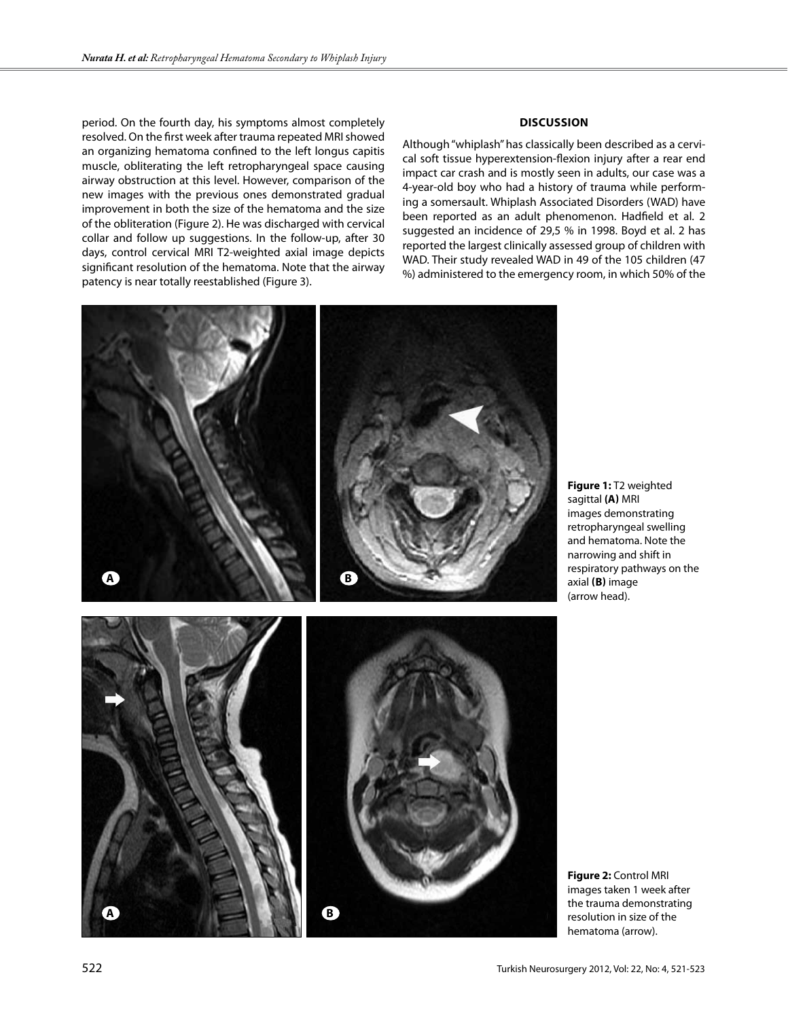period. On the fourth day, his symptoms almost completely resolved. On the first week after trauma repeated MRI showed an organizing hematoma confined to the left longus capitis muscle, obliterating the left retropharyngeal space causing airway obstruction at this level. However, comparison of the new images with the previous ones demonstrated gradual improvement in both the size of the hematoma and the size of the obliteration (Figure 2). He was discharged with cervical collar and follow up suggestions. In the follow-up, after 30 days, control cervical MRI T2-weighted axial image depicts significant resolution of the hematoma. Note that the airway patency is near totally reestablished (Figure 3).

## **Discussion**

Although "whiplash" has classically been described as a cervical soft tissue hyperextension-flexion injury after a rear end impact car crash and is mostly seen in adults, our case was a 4-year-old boy who had a history of trauma while performing a somersault. Whiplash Associated Disorders (WAD) have been reported as an adult phenomenon. Hadfield et al. 2 suggested an incidence of 29,5 % in 1998. Boyd et al. 2 has reported the largest clinically assessed group of children with WAD. Their study revealed WAD in 49 of the 105 children (47 %) administered to the emergency room, in which 50% of the



**Figure 1:** T2 weighted sagittal **(a)** MRI images demonstrating retropharyngeal swelling and hematoma. Note the narrowing and shift in respiratory pathways on the axial **(b)** image (arrow head).



**A b**